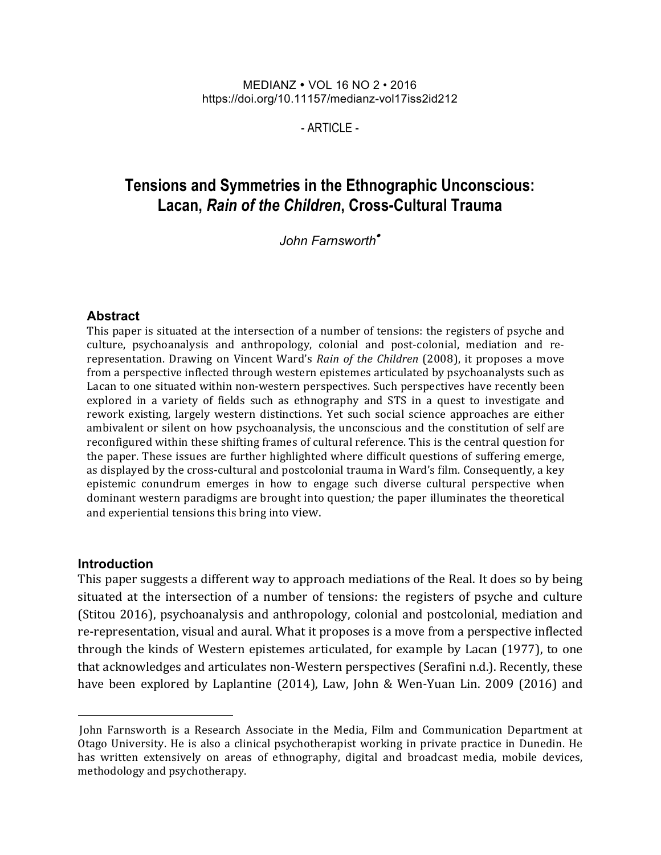- ARTICLE -

# **Tensions and Symmetries in the Ethnographic Unconscious: Lacan,** *Rain of the Children***, Cross-Cultural Trauma**

*John Farnsworth*•

#### **Abstract**

This paper is situated at the intersection of a number of tensions: the registers of psyche and culture, psychoanalysis and anthropology, colonial and post-colonial, mediation and rerepresentation. Drawing on Vincent Ward's *Rain of the Children* (2008), it proposes a move from a perspective inflected through western epistemes articulated by psychoanalysts such as Lacan to one situated within non-western perspectives. Such perspectives have recently been explored in a variety of fields such as ethnography and STS in a quest to investigate and rework existing, largely western distinctions. Yet such social science approaches are either ambivalent or silent on how psychoanalysis, the unconscious and the constitution of self are reconfigured within these shifting frames of cultural reference. This is the central question for the paper. These issues are further highlighted where difficult questions of suffering emerge, as displayed by the cross-cultural and postcolonial trauma in Ward's film. Consequently, a key epistemic conundrum emerges in how to engage such diverse cultural perspective when dominant western paradigms are brought into question; the paper illuminates the theoretical and experiential tensions this bring into view.

#### **Introduction**

 $\overline{a}$ 

This paper suggests a different way to approach mediations of the Real. It does so by being situated at the intersection of a number of tensions: the registers of psyche and culture (Stitou 2016), psychoanalysis and anthropology, colonial and postcolonial, mediation and re-representation, visual and aural. What it proposes is a move from a perspective inflected through the kinds of Western epistemes articulated, for example by Lacan (1977), to one that acknowledges and articulates non-Western perspectives (Serafini n.d.). Recently, these have been explored by Laplantine (2014), Law, John & Wen-Yuan Lin. 2009 (2016) and

John Farnsworth is a Research Associate in the Media, Film and Communication Department at Otago University. He is also a clinical psychotherapist working in private practice in Dunedin. He has written extensively on areas of ethnography, digital and broadcast media, mobile devices, methodology and psychotherapy.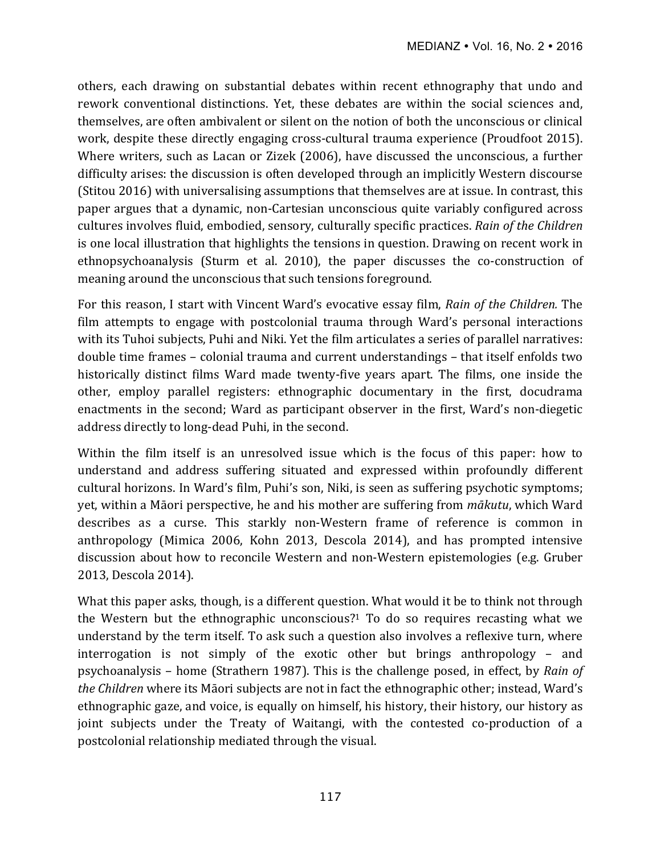others, each drawing on substantial debates within recent ethnography that undo and rework conventional distinctions. Yet, these debates are within the social sciences and, themselves, are often ambivalent or silent on the notion of both the unconscious or clinical work, despite these directly engaging cross-cultural trauma experience (Proudfoot 2015). Where writers, such as Lacan or Zizek (2006), have discussed the unconscious, a further difficulty arises: the discussion is often developed through an implicitly Western discourse (Stitou 2016) with universalising assumptions that themselves are at issue. In contrast, this paper argues that a dynamic, non-Cartesian unconscious quite variably configured across cultures involves fluid, embodied, sensory, culturally specific practices. Rain of the Children is one local illustration that highlights the tensions in question. Drawing on recent work in ethnopsychoanalysis (Sturm et al. 2010), the paper discusses the co-construction of meaning around the unconscious that such tensions foreground.

For this reason, I start with Vincent Ward's evocative essay film, *Rain of the Children*. The film attempts to engage with postcolonial trauma through Ward's personal interactions with its Tuhoi subjects, Puhi and Niki. Yet the film articulates a series of parallel narratives: double time frames - colonial trauma and current understandings - that itself enfolds two historically distinct films Ward made twenty-five years apart. The films, one inside the other, employ parallel registers: ethnographic documentary in the first, docudrama enactments in the second; Ward as participant observer in the first, Ward's non-diegetic address directly to long-dead Puhi, in the second.

Within the film itself is an unresolved issue which is the focus of this paper: how to understand and address suffering situated and expressed within profoundly different cultural horizons. In Ward's film, Puhi's son, Niki, is seen as suffering psychotic symptoms; yet, within a Māori perspective, he and his mother are suffering from *mākutu*, which Ward describes as a curse. This starkly non-Western frame of reference is common in anthropology (Mimica 2006, Kohn 2013, Descola 2014), and has prompted intensive discussion about how to reconcile Western and non-Western epistemologies (e.g. Gruber 2013, Descola 2014).

What this paper asks, though, is a different question. What would it be to think not through the Western but the ethnographic unconscious?<sup>1</sup> To do so requires recasting what we understand by the term itself. To ask such a question also involves a reflexive turn, where interrogation is not simply of the exotic other but brings anthropology  $-$  and psychoanalysis - home (Strathern 1987). This is the challenge posed, in effect, by *Rain of the Children* where its Māori subjects are not in fact the ethnographic other; instead, Ward's ethnographic gaze, and voice, is equally on himself, his history, their history, our history as joint subjects under the Treaty of Waitangi, with the contested co-production of a postcolonial relationship mediated through the visual.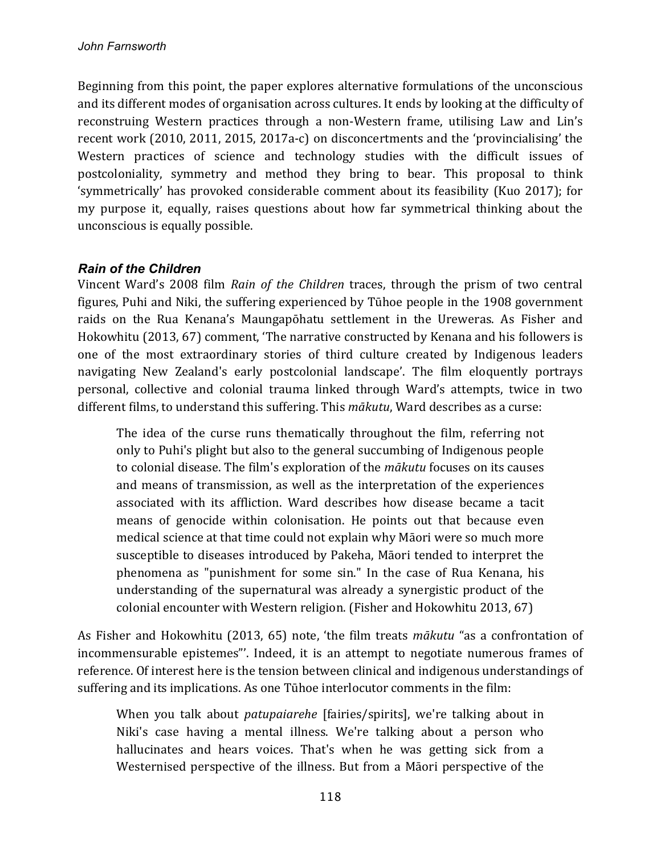Beginning from this point, the paper explores alternative formulations of the unconscious and its different modes of organisation across cultures. It ends by looking at the difficulty of reconstruing Western practices through a non-Western frame, utilising Law and Lin's recent work  $(2010, 2011, 2015, 2017a-c)$  on disconcertments and the 'provincialising' the Western practices of science and technology studies with the difficult issues of postcoloniality, symmetry and method they bring to bear. This proposal to think 'symmetrically' has provoked considerable comment about its feasibility (Kuo 2017); for my purpose it, equally, raises questions about how far symmetrical thinking about the unconscious is equally possible.

### *Rain of the Children*

Vincent Ward's 2008 film *Rain of the Children* traces, through the prism of two central figures, Puhi and Niki, the suffering experienced by Tühoe people in the 1908 government raids on the Rua Kenana's Maungapōhatu settlement in the Ureweras. As Fisher and Hokowhitu (2013, 67) comment, 'The narrative constructed by Kenana and his followers is one of the most extraordinary stories of third culture created by Indigenous leaders navigating New Zealand's early postcolonial landscape'. The film eloquently portrays personal, collective and colonial trauma linked through Ward's attempts, twice in two different films, to understand this suffering. This *mākutu*, Ward describes as a curse:

The idea of the curse runs thematically throughout the film, referring not only to Puhi's plight but also to the general succumbing of Indigenous people to colonial disease. The film's exploration of the *mākutu* focuses on its causes and means of transmission, as well as the interpretation of the experiences associated with its affliction. Ward describes how disease became a tacit means of genocide within colonisation. He points out that because even medical science at that time could not explain why Māori were so much more susceptible to diseases introduced by Pakeha, Māori tended to interpret the phenomena as "punishment for some sin." In the case of Rua Kenana, his understanding of the supernatural was already a synergistic product of the colonial encounter with Western religion. (Fisher and Hokowhitu 2013, 67)

As Fisher and Hokowhitu (2013, 65) note, 'the film treats *mākutu* "as a confrontation of incommensurable epistemes"'. Indeed, it is an attempt to negotiate numerous frames of reference. Of interest here is the tension between clinical and indigenous understandings of suffering and its implications. As one Tühoe interlocutor comments in the film:

When you talk about *patupaiarehe* [fairies/spirits], we're talking about in Niki's case having a mental illness. We're talking about a person who hallucinates and hears voices. That's when he was getting sick from a Westernised perspective of the illness. But from a Māori perspective of the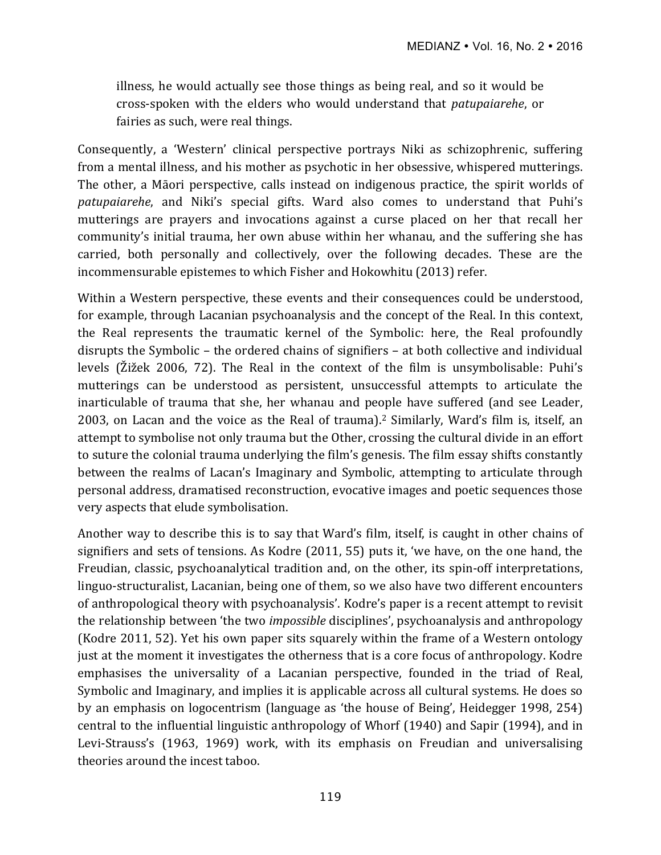illness, he would actually see those things as being real, and so it would be cross-spoken with the elders who would understand that *patupaiarehe*, or fairies as such, were real things.

Consequently, a 'Western' clinical perspective portrays Niki as schizophrenic, suffering from a mental illness, and his mother as psychotic in her obsessive, whispered mutterings. The other, a Māori perspective, calls instead on indigenous practice, the spirit worlds of patupaiarehe, and Niki's special gifts. Ward also comes to understand that Puhi's mutterings are prayers and invocations against a curse placed on her that recall her community's initial trauma, her own abuse within her whanau, and the suffering she has carried, both personally and collectively, over the following decades. These are the incommensurable epistemes to which Fisher and Hokowhitu (2013) refer.

Within a Western perspective, these events and their consequences could be understood, for example, through Lacanian psychoanalysis and the concept of the Real. In this context, the Real represents the traumatic kernel of the Symbolic: here, the Real profoundly disrupts the Symbolic – the ordered chains of signifiers – at both collective and individual levels (Žižek 2006, 72). The Real in the context of the film is unsymbolisable: Puhi's mutterings can be understood as persistent, unsuccessful attempts to articulate the inarticulable of trauma that she, her whanau and people have suffered (and see Leader, 2003, on Lacan and the voice as the Real of trauma).<sup>2</sup> Similarly, Ward's film is, itself, an attempt to symbolise not only trauma but the Other, crossing the cultural divide in an effort to suture the colonial trauma underlying the film's genesis. The film essay shifts constantly between the realms of Lacan's Imaginary and Symbolic, attempting to articulate through personal address, dramatised reconstruction, evocative images and poetic sequences those very aspects that elude symbolisation.

Another way to describe this is to say that Ward's film, itself, is caught in other chains of signifiers and sets of tensions. As Kodre  $(2011, 55)$  puts it, 'we have, on the one hand, the Freudian, classic, psychoanalytical tradition and, on the other, its spin-off interpretations, linguo-structuralist, Lacanian, being one of them, so we also have two different encounters of anthropological theory with psychoanalysis'. Kodre's paper is a recent attempt to revisit the relationship between 'the two *impossible* disciplines', psychoanalysis and anthropology (Kodre 2011, 52). Yet his own paper sits squarely within the frame of a Western ontology just at the moment it investigates the otherness that is a core focus of anthropology. Kodre emphasises the universality of a Lacanian perspective, founded in the triad of Real, Symbolic and Imaginary, and implies it is applicable across all cultural systems. He does so by an emphasis on logocentrism (language as 'the house of Being', Heidegger 1998, 254) central to the influential linguistic anthropology of Whorf (1940) and Sapir (1994), and in Levi-Strauss's (1963, 1969) work, with its emphasis on Freudian and universalising theories around the incest taboo.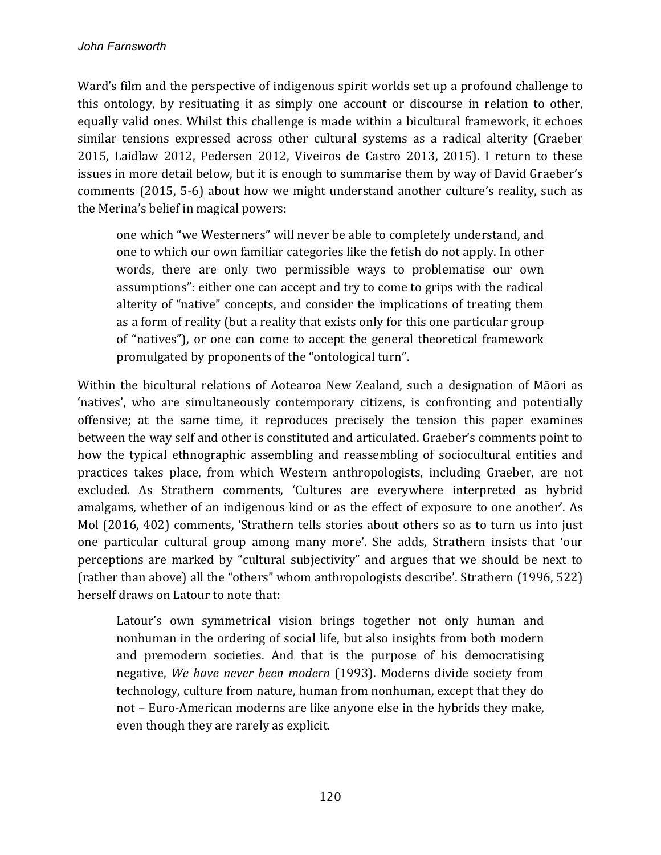Ward's film and the perspective of indigenous spirit worlds set up a profound challenge to this ontology, by resituating it as simply one account or discourse in relation to other, equally valid ones. Whilst this challenge is made within a bicultural framework, it echoes similar tensions expressed across other cultural systems as a radical alterity (Graeber 2015, Laidlaw 2012, Pedersen 2012, Viveiros de Castro 2013, 2015). I return to these issues in more detail below, but it is enough to summarise them by way of David Graeber's comments (2015, 5-6) about how we might understand another culture's reality, such as the Merina's belief in magical powers:

one which "we Westerners" will never be able to completely understand, and one to which our own familiar categories like the fetish do not apply. In other words, there are only two permissible ways to problematise our own assumptions": either one can accept and try to come to grips with the radical alterity of "native" concepts, and consider the implications of treating them as a form of reality (but a reality that exists only for this one particular group of "natives"), or one can come to accept the general theoretical framework promulgated by proponents of the "ontological turn".

Within the bicultural relations of Aotearoa New Zealand, such a designation of Māori as 'natives', who are simultaneously contemporary citizens, is confronting and potentially offensive; at the same time, it reproduces precisely the tension this paper examines between the way self and other is constituted and articulated. Graeber's comments point to how the typical ethnographic assembling and reassembling of sociocultural entities and practices takes place, from which Western anthropologists, including Graeber, are not excluded. As Strathern comments, 'Cultures are everywhere interpreted as hybrid amalgams, whether of an indigenous kind or as the effect of exposure to one another'. As Mol (2016, 402) comments, 'Strathern tells stories about others so as to turn us into just one particular cultural group among many more'. She adds, Strathern insists that 'our perceptions are marked by "cultural subjectivity" and argues that we should be next to (rather than above) all the "others" whom anthropologists describe'. Strathern (1996, 522) herself draws on Latour to note that:

Latour's own symmetrical vision brings together not only human and nonhuman in the ordering of social life, but also insights from both modern and premodern societies. And that is the purpose of his democratising negative, We have never been modern (1993). Moderns divide society from technology, culture from nature, human from nonhuman, except that they do not – Euro-American moderns are like anyone else in the hybrids they make, even though they are rarely as explicit.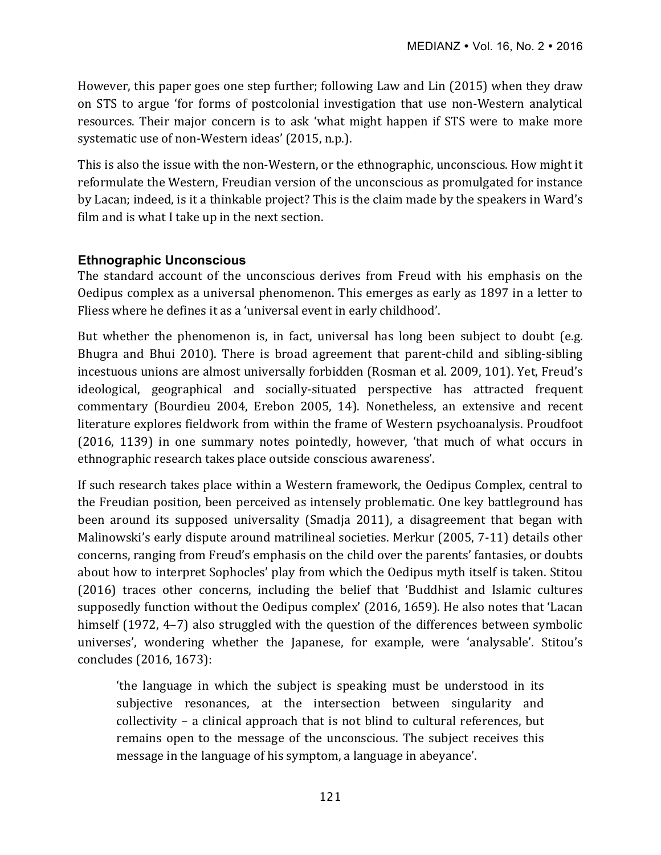However, this paper goes one step further; following Law and Lin  $(2015)$  when they draw on STS to argue 'for forms of postcolonial investigation that use non-Western analytical resources. Their major concern is to ask 'what might happen if STS were to make more systematic use of non-Western ideas' (2015, n.p.).

This is also the issue with the non-Western, or the ethnographic, unconscious. How might it reformulate the Western, Freudian version of the unconscious as promulgated for instance by Lacan; indeed, is it a thinkable project? This is the claim made by the speakers in Ward's film and is what I take up in the next section.

# **Ethnographic Unconscious**

The standard account of the unconscious derives from Freud with his emphasis on the Oedipus complex as a universal phenomenon. This emerges as early as 1897 in a letter to Fliess where he defines it as a 'universal event in early childhood'.

But whether the phenomenon is, in fact, universal has long been subject to doubt (e.g. Bhugra and Bhui 2010). There is broad agreement that parent-child and sibling-sibling incestuous unions are almost universally forbidden (Rosman et al. 2009, 101). Yet, Freud's ideological, geographical and socially-situated perspective has attracted frequent commentary (Bourdieu 2004, Erebon 2005, 14). Nonetheless, an extensive and recent literature explores fieldwork from within the frame of Western psychoanalysis. Proudfoot (2016, 1139) in one summary notes pointedly, however, 'that much of what occurs in ethnographic research takes place outside conscious awareness'.

If such research takes place within a Western framework, the Oedipus Complex, central to the Freudian position, been perceived as intensely problematic. One key battleground has been around its supposed universality (Smadja 2011), a disagreement that began with Malinowski's early dispute around matrilineal societies. Merkur (2005, 7-11) details other concerns, ranging from Freud's emphasis on the child over the parents' fantasies, or doubts about how to interpret Sophocles' play from which the Oedipus myth itself is taken. Stitou (2016) traces other concerns, including the belief that 'Buddhist and Islamic cultures supposedly function without the Oedipus complex' (2016, 1659). He also notes that 'Lacan himself  $(1972, 4-7)$  also struggled with the question of the differences between symbolic universes', wondering whether the Japanese, for example, were 'analysable'. Stitou's concludes (2016, 1673):

the language in which the subject is speaking must be understood in its subjective resonances, at the intersection between singularity and collectivity  $-$  a clinical approach that is not blind to cultural references, but remains open to the message of the unconscious. The subject receives this message in the language of his symptom, a language in abeyance'.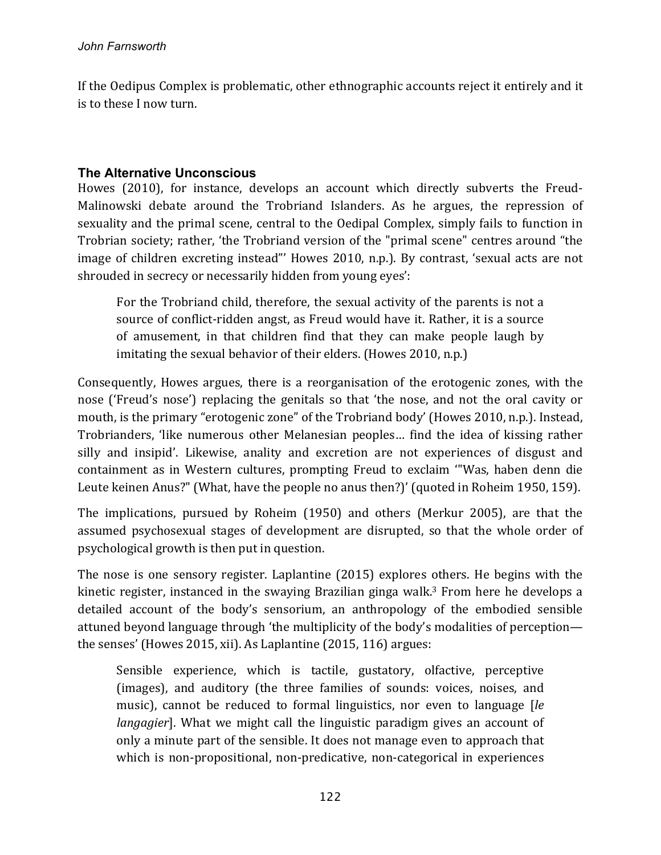If the Oedipus Complex is problematic, other ethnographic accounts reject it entirely and it is to these I now turn.

# **The Alternative Unconscious**

Howes (2010), for instance, develops an account which directly subverts the Freud-Malinowski debate around the Trobriand Islanders. As he argues, the repression of sexuality and the primal scene, central to the Oedipal Complex, simply fails to function in Trobrian society; rather, 'the Trobriand version of the "primal scene" centres around "the image of children excreting instead"' Howes 2010, n.p.). By contrast, 'sexual acts are not shrouded in secrecy or necessarily hidden from young eyes':

For the Trobriand child, therefore, the sexual activity of the parents is not a source of conflict-ridden angst, as Freud would have it. Rather, it is a source of amusement, in that children find that they can make people laugh by imitating the sexual behavior of their elders. (Howes 2010, n.p.)

Consequently, Howes argues, there is a reorganisation of the erotogenic zones, with the nose ('Freud's nose') replacing the genitals so that 'the nose, and not the oral cavity or mouth, is the primary "erotogenic zone" of the Trobriand body' (Howes 2010, n.p.). Instead, Trobrianders, 'like numerous other Melanesian peoples... find the idea of kissing rather silly and insipid'. Likewise, anality and excretion are not experiences of disgust and containment as in Western cultures, prompting Freud to exclaim "Was, haben denn die Leute keinen Anus?" (What, have the people no anus then?)' (quoted in Roheim 1950, 159).

The implications, pursued by Roheim (1950) and others (Merkur 2005), are that the assumed psychosexual stages of development are disrupted, so that the whole order of psychological growth is then put in question.

The nose is one sensory register. Laplantine  $(2015)$  explores others. He begins with the kinetic register, instanced in the swaying Brazilian ginga walk.<sup>3</sup> From here he develops a detailed account of the body's sensorium, an anthropology of the embodied sensible attuned beyond language through 'the multiplicity of the body's modalities of perception the senses' (Howes 2015, xii). As Laplantine  $(2015, 116)$  argues:

Sensible experience, which is tactile, gustatory, olfactive, perceptive (images), and auditory (the three families of sounds: voices, noises, and music), cannot be reduced to formal linguistics, nor even to language [le **matable**] *langagier*]. What we might call the linguistic paradigm gives an account of only a minute part of the sensible. It does not manage even to approach that which is non-propositional, non-predicative, non-categorical in experiences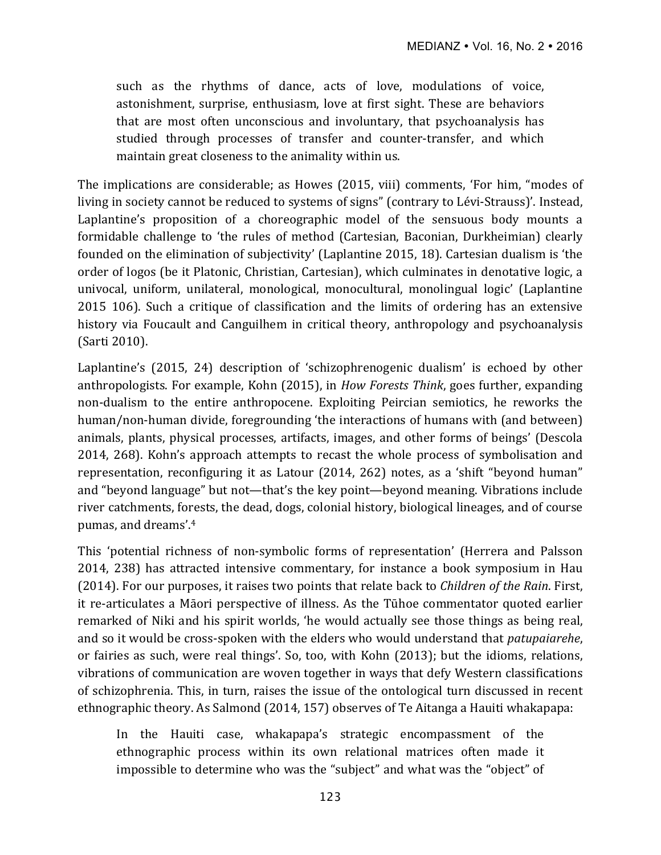such as the rhythms of dance, acts of love, modulations of voice, astonishment, surprise, enthusiasm, love at first sight. These are behaviors that are most often unconscious and involuntary, that psychoanalysis has studied through processes of transfer and counter-transfer, and which maintain great closeness to the animality within us.

The implications are considerable; as Howes (2015, viii) comments, 'For him, "modes of living in society cannot be reduced to systems of signs" (contrary to Lévi-Strauss)'. Instead, Laplantine's proposition of a choreographic model of the sensuous body mounts a formidable challenge to 'the rules of method (Cartesian, Baconian, Durkheimian) clearly founded on the elimination of subjectivity' (Laplantine 2015, 18). Cartesian dualism is 'the order of logos (be it Platonic, Christian, Cartesian), which culminates in denotative logic, a univocal, uniform, unilateral, monological, monocultural, monolingual logic' (Laplantine 2015 106). Such a critique of classification and the limits of ordering has an extensive history via Foucault and Canguilhem in critical theory, anthropology and psychoanalysis (Sarti 2010).

Laplantine's (2015, 24) description of 'schizophrenogenic dualism' is echoed by other anthropologists. For example, Kohn (2015), in *How Forests Think*, goes further, expanding non-dualism to the entire anthropocene. Exploiting Peircian semiotics, he reworks the human/non-human divide, foregrounding 'the interactions of humans with (and between) animals, plants, physical processes, artifacts, images, and other forms of beings' (Descola 2014, 268). Kohn's approach attempts to recast the whole process of symbolisation and representation, reconfiguring it as Latour (2014, 262) notes, as a 'shift "beyond human" and "beyond language" but not—that's the key point—beyond meaning. Vibrations include river catchments, forests, the dead, dogs, colonial history, biological lineages, and of course pumas, and dreams'.<sup>4</sup>

This 'potential richness of non-symbolic forms of representation' (Herrera and Palsson 2014, 238) has attracted intensive commentary, for instance a book symposium in Hau (2014). For our purposes, it raises two points that relate back to *Children of the Rain*. First, it re-articulates a Māori perspective of illness. As the Tūhoe commentator quoted earlier remarked of Niki and his spirit worlds, 'he would actually see those things as being real, and so it would be cross-spoken with the elders who would understand that *patupaiarehe*, or fairies as such, were real things'. So, too, with Kohn (2013); but the idioms, relations, vibrations of communication are woven together in ways that defy Western classifications of schizophrenia. This, in turn, raises the issue of the ontological turn discussed in recent ethnographic theory. As Salmond (2014, 157) observes of Te Aitanga a Hauiti whakapapa:

In the Hauiti case, whakapapa's strategic encompassment of the ethnographic process within its own relational matrices often made it impossible to determine who was the "subject" and what was the "object" of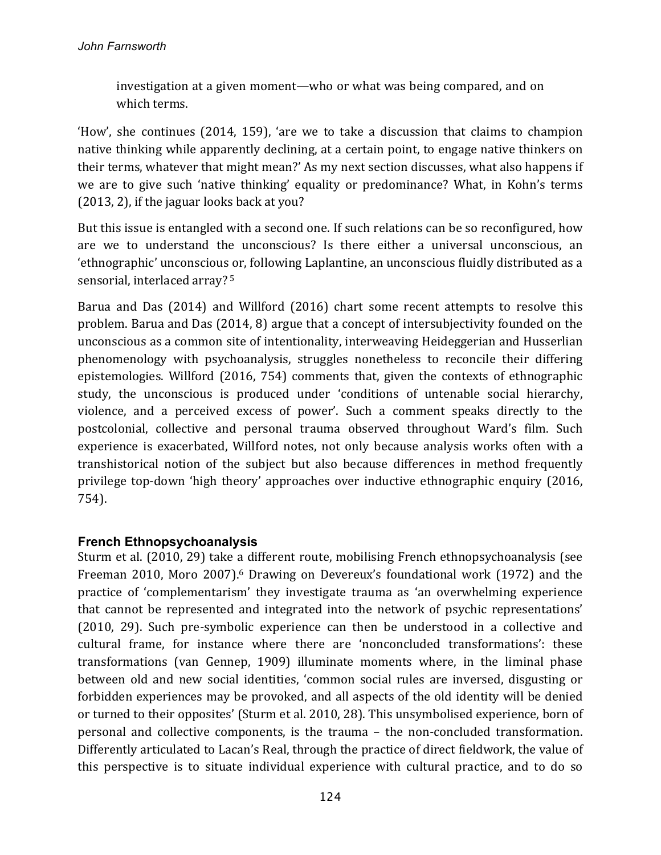investigation at a given moment—who or what was being compared, and on which terms.

'How', she continues (2014, 159), 'are we to take a discussion that claims to champion native thinking while apparently declining, at a certain point, to engage native thinkers on their terms, whatever that might mean?' As my next section discusses, what also happens if we are to give such 'native thinking' equality or predominance? What, in Kohn's terms  $(2013, 2)$ , if the jaguar looks back at you?

But this issue is entangled with a second one. If such relations can be so reconfigured, how are we to understand the unconscious? Is there either a universal unconscious, an 'ethnographic' unconscious or, following Laplantine, an unconscious fluidly distributed as a sensorial, interlaced array?<sup>5</sup>

Barua and Das (2014) and Willford (2016) chart some recent attempts to resolve this problem. Barua and Das (2014, 8) argue that a concept of intersubjectivity founded on the unconscious as a common site of intentionality, interweaving Heideggerian and Husserlian phenomenology with psychoanalysis, struggles nonetheless to reconcile their differing epistemologies. Willford (2016, 754) comments that, given the contexts of ethnographic study, the unconscious is produced under 'conditions of untenable social hierarchy, violence, and a perceived excess of power'. Such a comment speaks directly to the postcolonial, collective and personal trauma observed throughout Ward's film. Such experience is exacerbated, Willford notes, not only because analysis works often with a transhistorical notion of the subject but also because differences in method frequently privilege top-down 'high theory' approaches over inductive ethnographic enquiry (2016, 754). 

# **French Ethnopsychoanalysis**

Sturm et al. (2010, 29) take a different route, mobilising French ethnopsychoanalysis (see Freeman 2010, Moro 2007).<sup>6</sup> Drawing on Devereux's foundational work (1972) and the practice of 'complementarism' they investigate trauma as 'an overwhelming experience that cannot be represented and integrated into the network of psychic representations' (2010, 29). Such pre-symbolic experience can then be understood in a collective and cultural frame, for instance where there are 'nonconcluded transformations': these transformations (van Gennep, 1909) illuminate moments where, in the liminal phase between old and new social identities, 'common social rules are inversed, disgusting or forbidden experiences may be provoked, and all aspects of the old identity will be denied or turned to their opposites' (Sturm et al. 2010, 28). This unsymbolised experience, born of personal and collective components, is the trauma - the non-concluded transformation. Differently articulated to Lacan's Real, through the practice of direct fieldwork, the value of this perspective is to situate individual experience with cultural practice, and to do so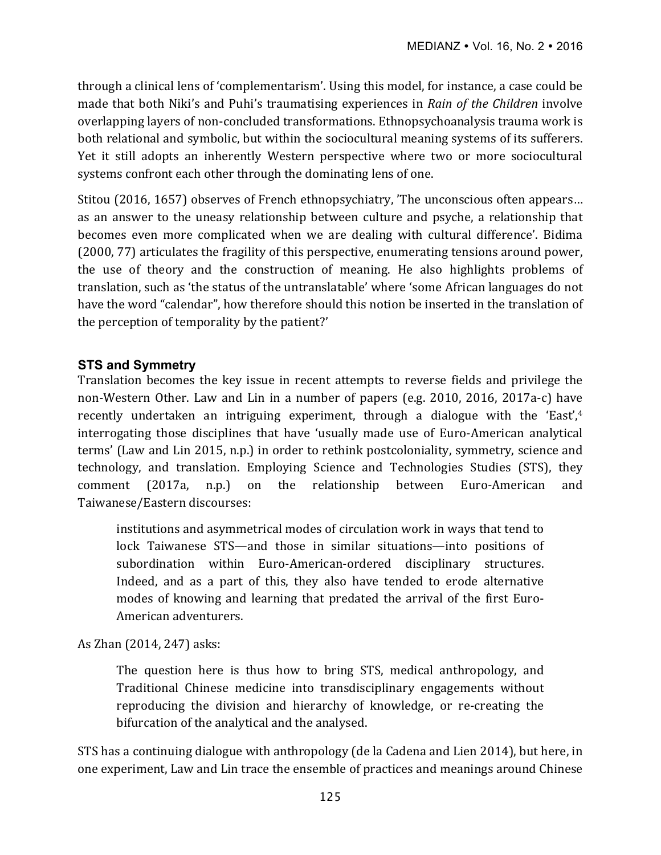through a clinical lens of 'complementarism'. Using this model, for instance, a case could be made that both Niki's and Puhi's traumatising experiences in *Rain of the Children* involve overlapping layers of non-concluded transformations. Ethnopsychoanalysis trauma work is both relational and symbolic, but within the sociocultural meaning systems of its sufferers. Yet it still adopts an inherently Western perspective where two or more sociocultural systems confront each other through the dominating lens of one.

Stitou (2016, 1657) observes of French ethnopsychiatry, 'The unconscious often appears... as an answer to the uneasy relationship between culture and psyche, a relationship that becomes even more complicated when we are dealing with cultural difference'. Bidima (2000, 77) articulates the fragility of this perspective, enumerating tensions around power, the use of theory and the construction of meaning. He also highlights problems of translation, such as 'the status of the untranslatable' where 'some African languages do not have the word "calendar", how therefore should this notion be inserted in the translation of the perception of temporality by the patient?'

# **STS and Symmetry**

Translation becomes the key issue in recent attempts to reverse fields and privilege the non-Western Other. Law and Lin in a number of papers (e.g. 2010, 2016, 2017a-c) have recently undertaken an intriguing experiment, through a dialogue with the 'East', $4$ interrogating those disciplines that have 'usually made use of Euro-American analytical terms' (Law and Lin 2015, n.p.) in order to rethink postcoloniality, symmetry, science and technology, and translation. Employing Science and Technologies Studies (STS), they comment (2017a, n.p.) on the relationship between Euro-American and Taiwanese/Eastern discourses:

institutions and asymmetrical modes of circulation work in ways that tend to lock Taiwanese STS—and those in similar situations—into positions of subordination within Euro-American-ordered disciplinary structures. Indeed, and as a part of this, they also have tended to erode alternative modes of knowing and learning that predated the arrival of the first Euro-American adventurers.

# As Zhan (2014, 247) asks:

The question here is thus how to bring STS, medical anthropology, and Traditional Chinese medicine into transdisciplinary engagements without reproducing the division and hierarchy of knowledge, or re-creating the bifurcation of the analytical and the analysed.

STS has a continuing dialogue with anthropology (de la Cadena and Lien 2014), but here, in one experiment, Law and Lin trace the ensemble of practices and meanings around Chinese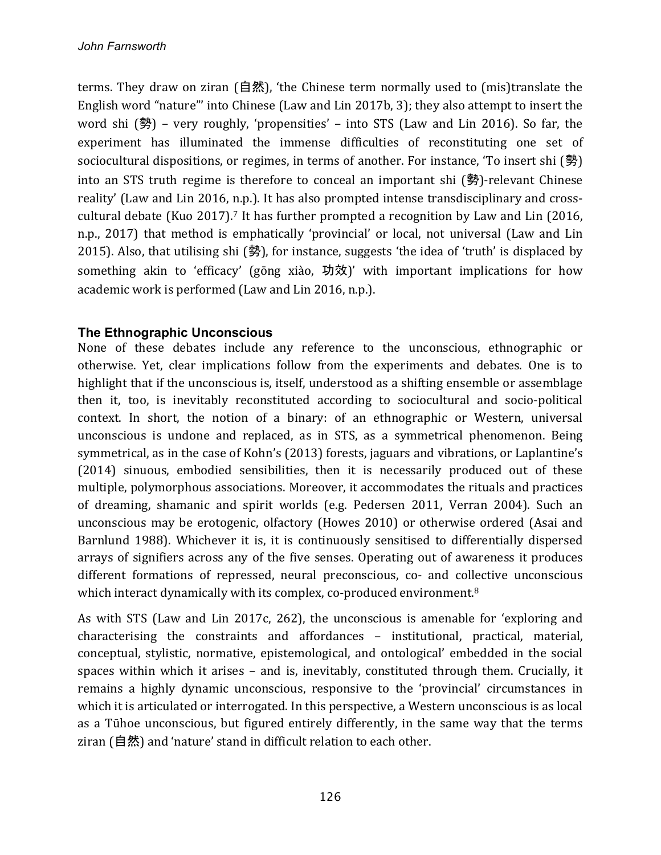terms. They draw on ziran (自然), 'the Chinese term normally used to (mis)translate the English word "nature"' into Chinese (Law and Lin 2017b, 3); they also attempt to insert the word shi  $(\frac{1}{2})$  – very roughly, 'propensities' – into STS (Law and Lin 2016). So far, the experiment has illuminated the immense difficulties of reconstituting one set of sociocultural dispositions, or regimes, in terms of another. For instance, 'To insert shi (勢) into an STS truth regime is therefore to conceal an important shi (勢)-relevant Chinese reality' (Law and Lin 2016, n.p.). It has also prompted intense transdisciplinary and crosscultural debate (Kuo 2017).<sup>7</sup> It has further prompted a recognition by Law and Lin (2016, n.p., 2017) that method is emphatically 'provincial' or local, not universal (Law and Lin 2015). Also, that utilising shi (勢), for instance, suggests 'the idea of 'truth' is displaced by something akin to 'efficacy' (gōng xiào, 功效)' with important implications for how academic work is performed (Law and Lin 2016, n.p.).

### **The Ethnographic Unconscious**

None of these debates include any reference to the unconscious, ethnographic or otherwise. Yet, clear implications follow from the experiments and debates. One is to highlight that if the unconscious is, itself, understood as a shifting ensemble or assemblage then it, too, is inevitably reconstituted according to sociocultural and socio-political context. In short, the notion of a binary: of an ethnographic or Western, universal unconscious is undone and replaced, as in STS, as a symmetrical phenomenon. Being symmetrical, as in the case of Kohn's (2013) forests, jaguars and vibrations, or Laplantine's (2014) sinuous, embodied sensibilities, then it is necessarily produced out of these multiple, polymorphous associations. Moreover, it accommodates the rituals and practices of dreaming, shamanic and spirit worlds (e.g. Pedersen 2011, Verran 2004). Such an unconscious may be erotogenic, olfactory (Howes 2010) or otherwise ordered (Asai and Barnlund 1988). Whichever it is, it is continuously sensitised to differentially dispersed arrays of signifiers across any of the five senses. Operating out of awareness it produces different formations of repressed, neural preconscious, co- and collective unconscious which interact dynamically with its complex, co-produced environment.<sup>8</sup>

As with STS (Law and Lin 2017c, 262), the unconscious is amenable for 'exploring and characterising the constraints and affordances – institutional, practical, material, conceptual, stylistic, normative, epistemological, and ontological' embedded in the social spaces within which it arises - and is, inevitably, constituted through them. Crucially, it remains a highly dynamic unconscious, responsive to the 'provincial' circumstances in which it is articulated or interrogated. In this perspective, a Western unconscious is as local as a Tūhoe unconscious, but figured entirely differently, in the same way that the terms  $z$ iran (自然) and 'nature' stand in difficult relation to each other.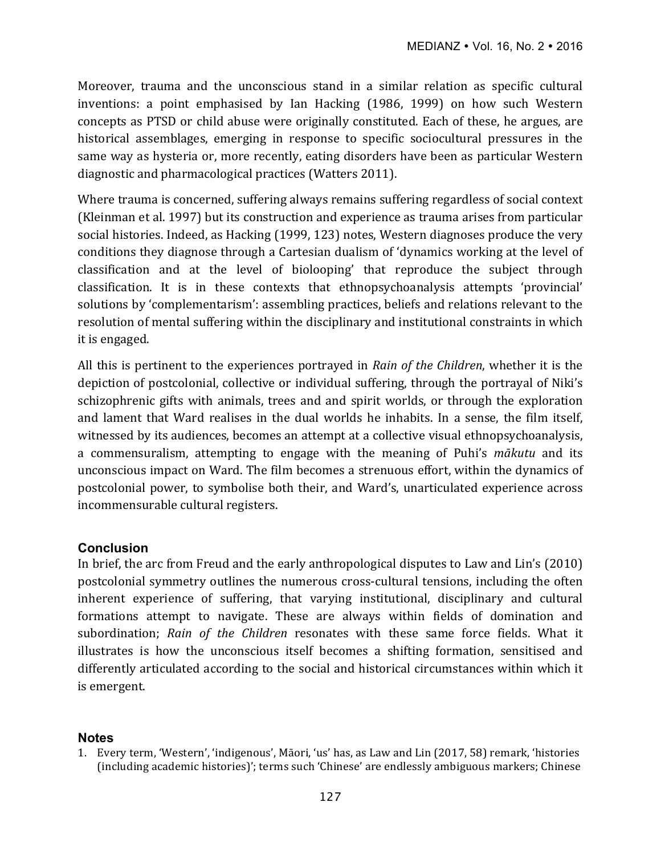Moreover, trauma and the unconscious stand in a similar relation as specific cultural inventions: a point emphasised by Ian Hacking (1986, 1999) on how such Western concepts as PTSD or child abuse were originally constituted. Each of these, he argues, are historical assemblages, emerging in response to specific sociocultural pressures in the same way as hysteria or, more recently, eating disorders have been as particular Western diagnostic and pharmacological practices (Watters 2011).

Where trauma is concerned, suffering always remains suffering regardless of social context (Kleinman et al. 1997) but its construction and experience as trauma arises from particular social histories. Indeed, as Hacking (1999, 123) notes, Western diagnoses produce the very conditions they diagnose through a Cartesian dualism of 'dynamics working at the level of classification and at the level of biolooping' that reproduce the subject through classification. It is in these contexts that ethnopsychoanalysis attempts 'provincial' solutions by 'complementarism': assembling practices, beliefs and relations relevant to the resolution of mental suffering within the disciplinary and institutional constraints in which it is engaged.

All this is pertinent to the experiences portrayed in *Rain of the Children*, whether it is the depiction of postcolonial, collective or individual suffering, through the portrayal of Niki's schizophrenic gifts with animals, trees and and spirit worlds, or through the exploration and lament that Ward realises in the dual worlds he inhabits. In a sense, the film itself, witnessed by its audiences, becomes an attempt at a collective visual ethnopsychoanalysis, a commensuralism, attempting to engage with the meaning of Puhi's *mākutu* and its unconscious impact on Ward. The film becomes a strenuous effort, within the dynamics of postcolonial power, to symbolise both their, and Ward's, unarticulated experience across incommensurable cultural registers.

#### **Conclusion**

In brief, the arc from Freud and the early anthropological disputes to Law and Lin's (2010) postcolonial symmetry outlines the numerous cross-cultural tensions, including the often inherent experience of suffering, that varying institutional, disciplinary and cultural formations attempt to navigate. These are always within fields of domination and subordination; *Rain of the Children* resonates with these same force fields. What it illustrates is how the unconscious itself becomes a shifting formation, sensitised and differently articulated according to the social and historical circumstances within which it is emergent.

#### **Notes**

1. Every term, 'Western', 'indigenous', Māori, 'us' has, as Law and Lin (2017, 58) remark, 'histories (including academic histories)'; terms such 'Chinese' are endlessly ambiguous markers; Chinese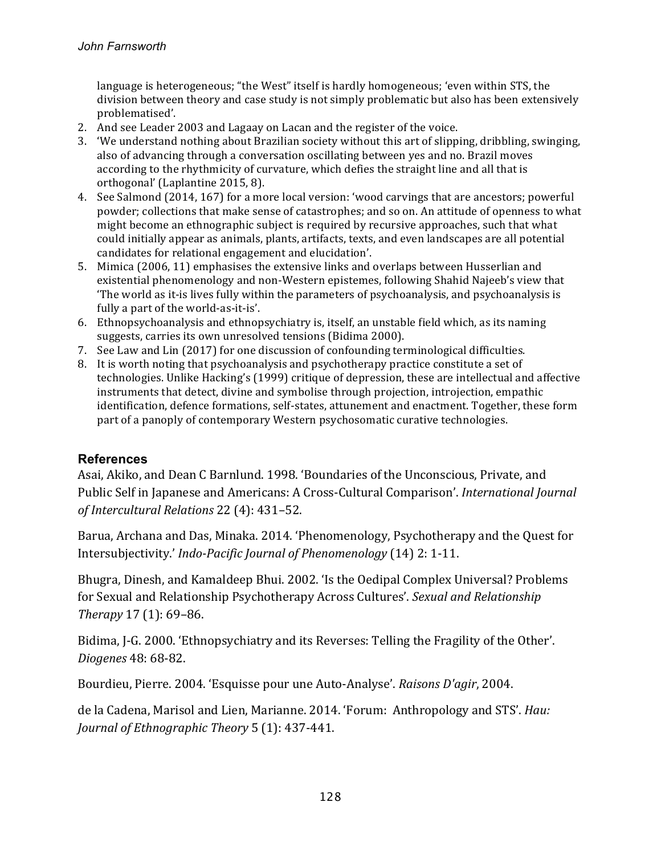language is heterogeneous; "the West" itself is hardly homogeneous; 'even within STS, the division between theory and case study is not simply problematic but also has been extensively problematised'.

- 2. And see Leader 2003 and Lagaay on Lacan and the register of the voice.
- 3. 'We understand nothing about Brazilian society without this art of slipping, dribbling, swinging, also of advancing through a conversation oscillating between yes and no. Brazil moves according to the rhythmicity of curvature, which defies the straight line and all that is orthogonal' (Laplantine 2015, 8).
- 4. See Salmond (2014, 167) for a more local version: 'wood carvings that are ancestors; powerful powder; collections that make sense of catastrophes; and so on. An attitude of openness to what might become an ethnographic subject is required by recursive approaches, such that what could initially appear as animals, plants, artifacts, texts, and even landscapes are all potential candidates for relational engagement and elucidation'.
- 5. Mimica (2006, 11) emphasises the extensive links and overlaps between Husserlian and existential phenomenology and non-Western epistemes, following Shahid Najeeb's view that The world as it-is lives fully within the parameters of psychoanalysis, and psychoanalysis is fully a part of the world-as-it-is'.
- 6. Ethnopsychoanalysis and ethnopsychiatry is, itself, an unstable field which, as its naming suggests, carries its own unresolved tensions (Bidima 2000).
- 7. See Law and Lin (2017) for one discussion of confounding terminological difficulties.
- 8. It is worth noting that psychoanalysis and psychotherapy practice constitute a set of technologies. Unlike Hacking's (1999) critique of depression, these are intellectual and affective instruments that detect, divine and symbolise through projection, introjection, empathic identification, defence formations, self-states, attunement and enactment. Together, these form part of a panoply of contemporary Western psychosomatic curative technologies.

#### **References**

Asai, Akiko, and Dean C Barnlund. 1998. 'Boundaries of the Unconscious, Private, and Public Self in Japanese and Americans: A Cross-Cultural Comparison'. *International Journal of Intercultural Relations* 22 (4): 431–52. 

Barua, Archana and Das, Minaka. 2014. 'Phenomenology, Psychotherapy and the Quest for Intersubjectivity.' *Indo-Pacific Journal of Phenomenology* (14) 2: 1-11.

Bhugra, Dinesh, and Kamaldeep Bhui. 2002. 'Is the Oedipal Complex Universal? Problems for Sexual and Relationship Psychotherapy Across Cultures'. *Sexual and Relationship Therapy* 17 (1): 69–86. 

Bidima, J-G. 2000. 'Ethnopsychiatry and its Reverses: Telling the Fragility of the Other'. *Diogenes* 48: 68-82.

Bourdieu, Pierre. 2004. 'Esquisse pour une Auto-Analyse'. *Raisons D'agir*, 2004.

de la Cadena, Marisol and Lien, Marianne. 2014. 'Forum: Anthropology and STS'. *Hau: Journal of Ethnographic Theory* 5 (1): 437-441.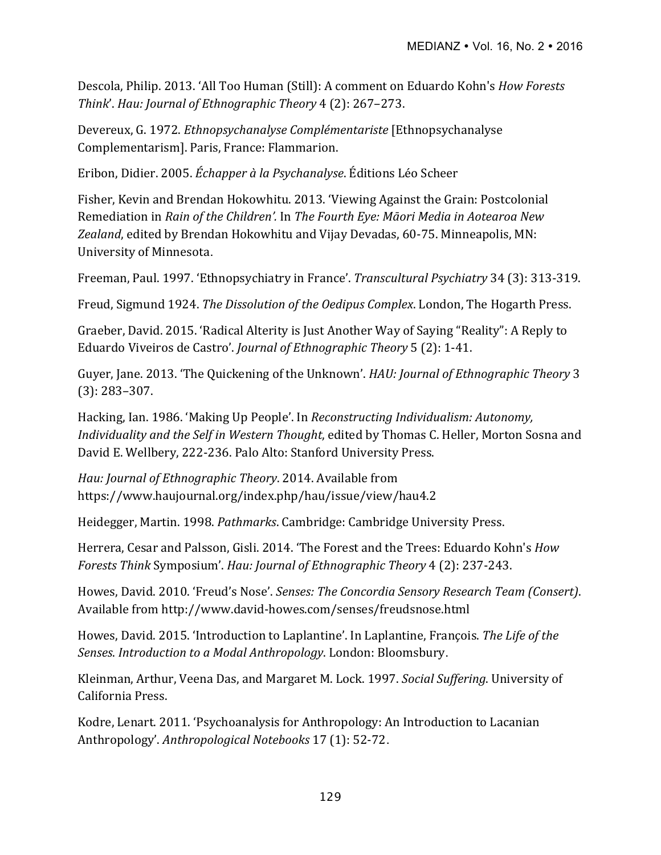Descola, Philip. 2013. 'All Too Human (Still): A comment on Eduardo Kohn's *How Forests Think*'. *Hau: Journal of Ethnographic Theory* 4 (2): 267–273.

Devereux, G. 1972. *Ethnopsychanalyse Complémentariste* [Ethnopsychanalyse] Complementarism]. Paris, France: Flammarion.

Eribon, Didier. 2005. *Échapper à la Psychanalyse*. Éditions Léo Scheer

Fisher, Kevin and Brendan Hokowhitu. 2013. 'Viewing Against the Grain: Postcolonial Remediation in *Rain of the Children'*. In *The Fourth Eye: Māori Media in Aotearoa New* Zealand, edited by Brendan Hokowhitu and Vijay Devadas, 60-75. Minneapolis, MN: University of Minnesota.

Freeman, Paul. 1997. 'Ethnopsychiatry in France'. *Transcultural Psychiatry* 34 (3): 313-319.

Freud, Sigmund 1924. *The Dissolution of the Oedipus Complex*. London, The Hogarth Press.

Graeber, David. 2015. 'Radical Alterity is Just Another Way of Saying "Reality": A Reply to Eduardo Viveiros de Castro'. *Journal of Ethnographic Theory* 5 (2): 1-41.

Guyer, Jane. 2013. 'The Quickening of the Unknown'. *HAU: Journal of Ethnographic Theory* 3  $(3): 283 - 307.$ 

Hacking, Ian. 1986. 'Making Up People'. In *Reconstructing Individualism: Autonomy*, *Individuality and the Self in Western Thought*, edited by Thomas C. Heller, Morton Sosna and David E. Wellbery, 222-236. Palo Alto: Stanford University Press.

*Hau: Journal of Ethnographic Theory.* 2014. Available from https://www.haujournal.org/index.php/hau/issue/view/hau4.2

Heidegger, Martin. 1998. *Pathmarks*. Cambridge: Cambridge University Press.

Herrera, Cesar and Palsson, Gisli. 2014. 'The Forest and the Trees: Eduardo Kohn's *How Forests Think Symposium'. Hau: Journal of Ethnographic Theory* 4 (2): 237-243.

Howes, David. 2010. 'Freud's Nose'. *Senses: The Concordia Sensory Research Team (Consert)*. Available from http://www.david-howes.com/senses/freudsnose.html

Howes, David. 2015. 'Introduction to Laplantine'. In Laplantine, François. The Life of the Senses. *Introduction to a Modal Anthropology*. London: Bloomsbury.

Kleinman, Arthur, Veena Das, and Margaret M. Lock. 1997. *Social Suffering*. University of California Press.

Kodre, Lenart. 2011. 'Psychoanalysis for Anthropology: An Introduction to Lacanian Anthropology'. Anthropological Notebooks 17 (1): 52-72.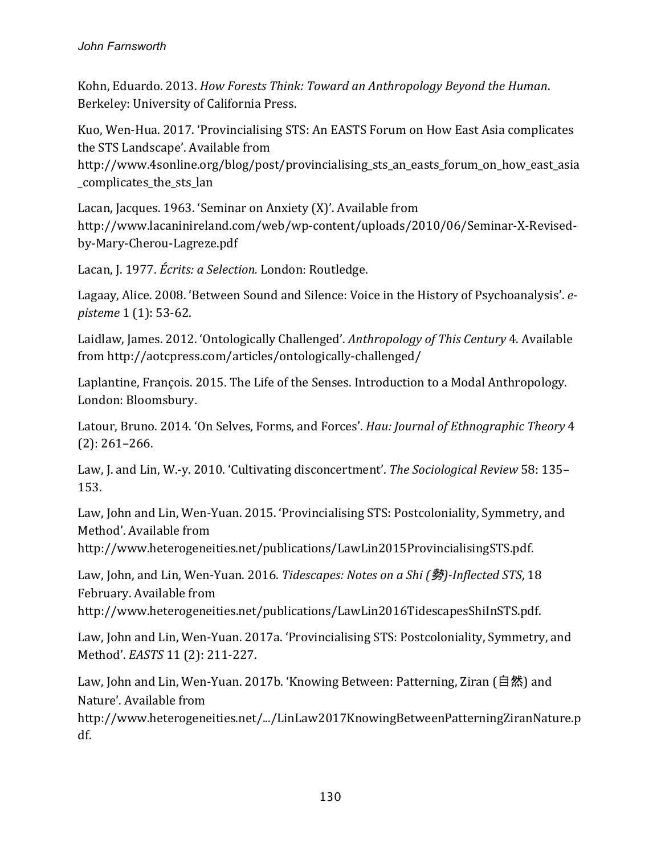Kohn, Eduardo. 2013. *How Forests Think: Toward an Anthropology Beyond the Human.* Berkeley: University of California Press.

Kuo, Wen-Hua. 2017. 'Provincialising STS: An EASTS Forum on How East Asia complicates the STS Landscape'. Available from

http://www.4sonline.org/blog/post/provincialising sts an easts forum on how east asia \_complicates\_the\_sts\_lan

Lacan, Jacques. 1963. 'Seminar on Anxiety  $(X)'$ . Available from http://www.lacaninireland.com/web/wp-content/uploads/2010/06/Seminar-X-Revisedby-Mary-Cherou-Lagreze.pdf 

Lacan, J. 1977. *Écrits: a Selection.* London: Routledge.

Lagaay, Alice. 2008. 'Between Sound and Silence: Voice in the History of Psychoanalysis'. *episteme* 1 (1): 53-62.

Laidlaw, James. 2012. 'Ontologically Challenged'. Anthropology of This Century 4. Available from http://aotcpress.com/articles/ontologically-challenged/ 

Laplantine, François. 2015. The Life of the Senses. Introduction to a Modal Anthropology. London: Bloomsbury.

Latour, Bruno. 2014. 'On Selves, Forms, and Forces'. *Hau: Journal of Ethnographic Theory* 4  $(2): 261 - 266.$ 

Law, J. and Lin, W.-y. 2010. 'Cultivating disconcertment'. *The Sociological Review* 58: 135– 153.

Law, John and Lin, Wen-Yuan. 2015. 'Provincialising STS: Postcoloniality, Symmetry, and Method'. Available from

http://www.heterogeneities.net/publications/LawLin2015ProvincialisingSTS.pdf. 

Law, John, and Lin, Wen-Yuan. 2016. *Tidescapes: Notes on a Shi (勢)-Inflected STS*, 18 February. Available from

http://www.heterogeneities.net/publications/LawLin2016TidescapesShiInSTS.pdf. 

Law, John and Lin, Wen-Yuan. 2017a. 'Provincialising STS: Postcoloniality, Symmetry, and Method'. *EASTS* 11 (2): 211-227.

Law, John and Lin, Wen-Yuan. 2017b. 'Knowing Between: Patterning, Ziran (自然) and Nature'. Available from

http://www.heterogeneities.net/.../LinLaw2017KnowingBetweenPatterningZiranNature.p df.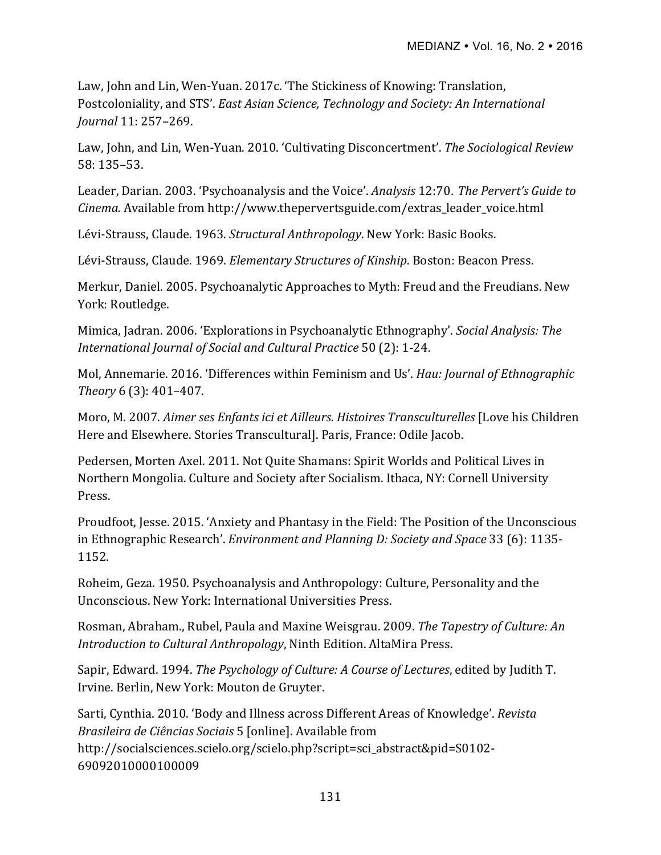Law, John and Lin, Wen-Yuan. 2017c. 'The Stickiness of Knowing: Translation, Postcoloniality, and STS'. *East Asian Science, Technology and Society: An International Journal* 11: 257–269.

Law, John, and Lin, Wen-Yuan. 2010. 'Cultivating Disconcertment'. The Sociological Review 58: 135–53. 

Leader, Darian. 2003. 'Psychoanalysis and the Voice'. *Analysis* 12:70. *The Pervert's Guide to Cinema.* Available from http://www.thepervertsguide.com/extras\_leader\_voice.html

Lévi-Strauss, Claude. 1963. *Structural Anthropology*. New York: Basic Books.

Lévi-Strauss, Claude. 1969. *Elementary Structures of Kinship*. Boston: Beacon Press.

Merkur, Daniel. 2005. Psychoanalytic Approaches to Myth: Freud and the Freudians. New York: Routledge.

Mimica, Jadran. 2006. 'Explorations in Psychoanalytic Ethnography'. *Social Analysis: The International Journal of Social and Cultural Practice* 50 (2): 1-24.

Mol, Annemarie. 2016. 'Differences within Feminism and Us'. *Hau: Journal of Ethnographic Theory* 6 (3): 401-407.

Moro, M. 2007. *Aimer ses Enfants ici et Ailleurs. Histoires Transculturelles* [Love his Children Here and Elsewhere. Stories Transcultural]. Paris, France: Odile Jacob.

Pedersen, Morten Axel. 2011. Not Quite Shamans: Spirit Worlds and Political Lives in Northern Mongolia. Culture and Society after Socialism. Ithaca, NY: Cornell University Press.

Proudfoot, Jesse. 2015. 'Anxiety and Phantasy in the Field: The Position of the Unconscious in Ethnographic Research'. *Environment and Planning D: Society and Space* 33 (6): 1135-1152.

Roheim, Geza. 1950. Psychoanalysis and Anthropology: Culture, Personality and the Unconscious. New York: International Universities Press.

Rosman, Abraham., Rubel, Paula and Maxine Weisgrau. 2009. *The Tapestry of Culture: An Introduction to Cultural Anthropology*, Ninth Edition. AltaMira Press.

Sapir, Edward. 1994. *The Psychology of Culture: A Course of Lectures*, edited by Judith T. Irvine. Berlin, New York: Mouton de Gruyter.

Sarti, Cynthia. 2010. 'Body and Illness across Different Areas of Knowledge'. *Revista Brasileira de Ciências Sociais* 5 [online]. Available from http://socialsciences.scielo.org/scielo.php?script=sci\_abstract&pid=S0102- 69092010000100009